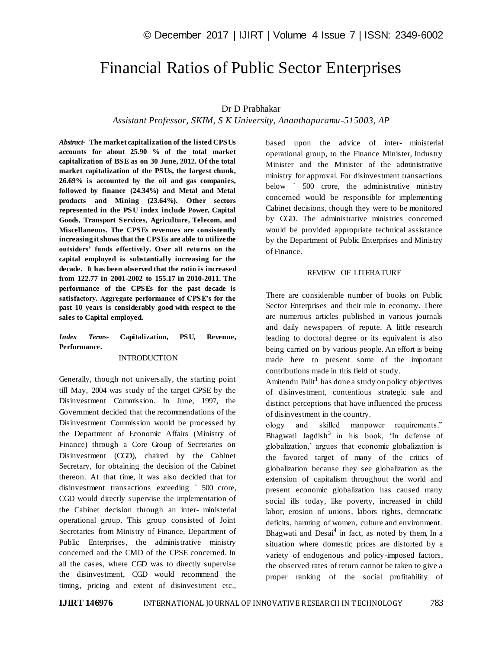# Financial Ratios of Public Sector Enterprises

# Dr D Prabhakar

## *Assistant Professor, SKIM, S K University, Ananthapuramu-515003, AP*

*Abstract*- **The market capitalization of the listed CPSUs accounts for about 25.90 % of the total market capitalization of BSE as on 30 June, 2012. Of the total market capitalization of the PSUs, the largest chunk, 26.69% is accounted by the oil and gas companies, followed by finance (24.34%) and Metal and Metal products and Mining (23.64%). Other sectors represented in the PSU index include Power, Capital Goods, Transport Services, Agriculture, Telecom, and Miscellaneous. The CPSEs revenues are consistently increasing it shows that the CPSEs are able to utilize the outsiders' funds effectively. Over all returns on the capital employed is substantially increasing for the decade. It has been observed that the ratio is increased from 122.77 in 2001-2002 to 155.17 in 2010-2011. The performance of the CPSEs for the past decade is satisfactory. Aggregate performance of CPSE's for the past 10 years is considerably good with respect to the sales to Capital employed.**

## *Index Terms***- Capitalization, PSU, Revenue, Performance.**

## INTRODUCTION

Generally, though not universally, the starting point till May, 2004 was study of the target CPSE by the Disinvestment Commission. In June, 1997, the Government decided that the recommendations of the Disinvestment Commission would be processed by the Department of Economic Affairs (Ministry of Finance) through a Core Group of Secretaries on Disinvestment (CGD), chaired by the Cabinet Secretary, for obtaining the decision of the Cabinet thereon. At that time, it was also decided that for disinvestment transactions exceeding  $\degree$  500 crore, CGD would directly supervise the implementation of the Cabinet decision through an inter- ministerial operational group. This group consisted of Joint Secretaries from Ministry of Finance, Department of Public Enterprises, the administrative ministry concerned and the CMD of the CPSE concerned. In all the cases, where CGD was to directly supervise the disinvestment, CGD would recommend the timing, pricing and extent of disinvestment etc.,

based upon the advice of inter- ministerial operational group, to the Finance Minister, Industry Minister and the Minister of the administrative ministry for approval. For disinvestment transactions below ` 500 crore, the administrative ministry concerned would be responsible for implementing Cabinet decisions, though they were to be monitored by CGD. The administrative ministries concerned would be provided appropriate technical assistance by the Department of Public Enterprises and Ministry of Finance.

## REVIEW OF LITERATURE

There are considerable number of books on Public Sector Enterprises and their role in economy. There are numerous articles published in various journals and daily newspapers of repute. A little research leading to doctoral degree or its equivalent is also being carried on by various people. An effort is being made here to present some of the important contributions made in this field of study.

Amitendu Palit<sup>1</sup> has done a study on policy objectives of disinvestment, contentious strategic sale and distinct perceptions that have influenced the process of disinvestment in the country.

ology and skilled manpower requirements." Bhagwati Jagdish $3$  in his book, 'In defense of globalization," argues that economic globalization is the favored target of many of the critics of globalization because they see globalization as the extension of capitalism throughout the world and present economic globalization has caused many social ills today, like poverty, increased in child labor, erosion of unions, labors rights, democratic deficits, harming of women, culture and environment. Bhagwati and  $Desai<sup>4</sup>$  in fact, as noted by them, In a situation where domestic prices are distorted by a variety of endogenous and policy-imposed factors, the observed rates of return cannot be taken to give a proper ranking of the social profitability of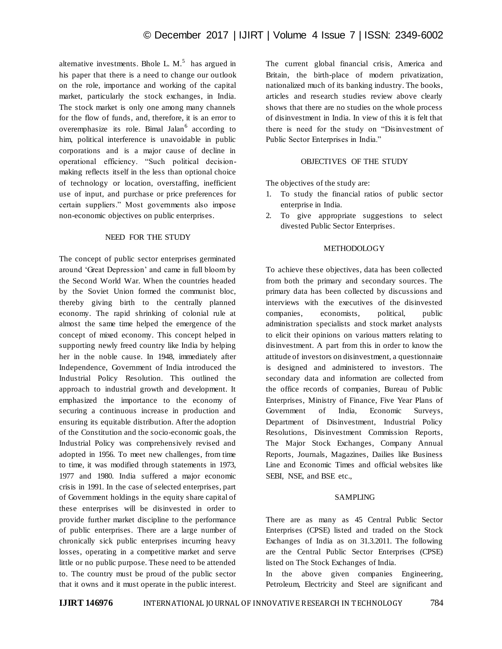alternative investments. Bhole L.  $M<sup>5</sup>$  has argued in his paper that there is a need to change our outlook on the role, importance and working of the capital market, particularly the stock exchanges, in India. The stock market is only one among many channels for the flow of funds, and, therefore, it is an error to overemphasize its role. Bimal Jalan<sup>6</sup> according to him, political interference is unavoidable in public corporations and is a major cause of decline in operational efficiency. "Such political decisionmaking reflects itself in the less than optional choice of technology or location, overstaffing, inefficient use of input, and purchase or price preferences for certain suppliers." Most governments also impose non-economic objectives on public enterprises.

## NEED FOR THE STUDY

The concept of public sector enterprises germinated around "Great Depression" and came in full bloom by the Second World War. When the countries headed by the Soviet Union formed the communist bloc, thereby giving birth to the centrally planned economy. The rapid shrinking of colonial rule at almost the same time helped the emergence of the concept of mixed economy. This concept helped in supporting newly freed country like India by helping her in the noble cause. In 1948, immediately after Independence, Government of India introduced the Industrial Policy Resolution. This outlined the approach to industrial growth and development. It emphasized the importance to the economy of securing a continuous increase in production and ensuring its equitable distribution. After the adoption of the Constitution and the socio-economic goals, the Industrial Policy was comprehensively revised and adopted in 1956. To meet new challenges, from time to time, it was modified through statements in 1973, 1977 and 1980. India suffered a major economic crisis in 1991. In the case of selected enterprises, part of Government holdings in the equity share capital of these enterprises will be disinvested in order to provide further market discipline to the performance of public enterprises. There are a large number of chronically sick public enterprises incurring heavy losses, operating in a competitive market and serve little or no public purpose. These need to be attended to. The country must be proud of the public sector that it owns and it must operate in the public interest. The current global financial crisis, America and Britain, the birth-place of modern privatization, nationalized much of its banking industry. The books, articles and research studies review above clearly shows that there are no studies on the whole process of disinvestment in India. In view of this it is felt that there is need for the study on "Disinvestment of Public Sector Enterprises in India."

## OBJECTIVES OF THE STUDY

The objectives of the study are:

- 1. To study the financial ratios of public sector enterprise in India.
- 2. To give appropriate suggestions to select divested Public Sector Enterprises.

## **METHODOLOGY**

To achieve these objectives, data has been collected from both the primary and secondary sources. The primary data has been collected by discussions and interviews with the executives of the disinvested companies, economists, political, public administration specialists and stock market analysts to elicit their opinions on various matters relating to disinvestment. A part from this in order to know the attitude of investors on disinvestment, a questionnaire is designed and administered to investors. The secondary data and information are collected from the office records of companies, Bureau of Public Enterprises, Ministry of Finance, Five Year Plans of Government of India, Economic Surveys, Department of Disinvestment, Industrial Policy Resolutions, Disinvestment Commission Reports, The Major Stock Exchanges, Company Annual Reports, Journals, Magazines, Dailies like Business Line and Economic Times and official websites like SEBI, NSE, and BSE etc.,

#### SAMPLING

There are as many as 45 Central Public Sector Enterprises (CPSE) listed and traded on the Stock Exchanges of India as on 31.3.2011. The following are the Central Public Sector Enterprises (CPSE) listed on The Stock Exchanges of India.

In the above given companies Engineering, Petroleum, Electricity and Steel are significant and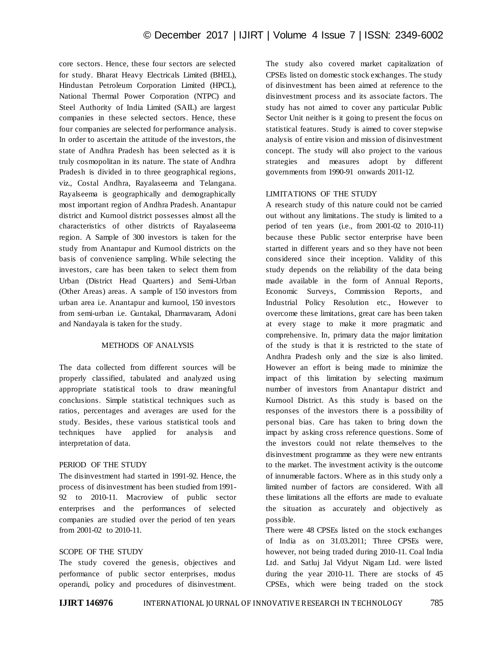core sectors. Hence, these four sectors are selected for study. Bharat Heavy Electricals Limited (BHEL), Hindustan Petroleum Corporation Limited (HPCL), National Thermal Power Corporation (NTPC) and Steel Authority of India Limited (SAIL) are largest companies in these selected sectors. Hence, these four companies are selected for performance analysis. In order to ascertain the attitude of the investors, the state of Andhra Pradesh has been selected as it is truly cosmopolitan in its nature. The state of Andhra Pradesh is divided in to three geographical regions, viz., Costal Andhra, Rayalaseema and Telangana. Rayalseema is geographically and demographically most important region of Andhra Pradesh. Anantapur district and Kurnool district possesses almost all the characteristics of other districts of Rayalaseema region. A Sample of 300 investors is taken for the study from Anantapur and Kurnool districts on the basis of convenience sampling. While selecting the investors, care has been taken to select them from Urban (District Head Quarters) and Semi-Urban (Other Areas) areas. A sample of 150 investors from urban area i.e. Anantapur and kurnool, 150 investors from semi-urban i.e. Guntakal, Dharmavaram, Adoni and Nandayala is taken for the study.

## METHODS OF ANALYSIS

The data collected from different sources will be properly classified, tabulated and analyzed using appropriate statistical tools to draw meaningful conclusions. Simple statistical techniques such as ratios, percentages and averages are used for the study. Besides, these various statistical tools and techniques have applied for analysis and interpretation of data.

## PERIOD OF THE STUDY

The disinvestment had started in 1991-92. Hence, the process of disinvestment has been studied from 1991- 92 to 2010-11. Macroview of public sector enterprises and the performances of selected companies are studied over the period of ten years from 2001-02 to 2010-11.

## SCOPE OF THE STUDY

The study covered the genesis, objectives and performance of public sector enterprises, modus operandi, policy and procedures of disinvestment. The study also covered market capitalization of CPSEs listed on domestic stock exchanges. The study of disinvestment has been aimed at reference to the disinvestment process and its associate factors. The study has not aimed to cover any particular Public Sector Unit neither is it going to present the focus on statistical features. Study is aimed to cover stepwise analysis of entire vision and mission of disinvestment concept. The study will also project to the various strategies and measures adopt by different governments from 1990-91 onwards 2011-12.

## LIMITATIONS OF THE STUDY

A research study of this nature could not be carried out without any limitations. The study is limited to a period of ten years (i.e., from 2001-02 to 2010-11) because these Public sector enterprise have been started in different years and so they have not been considered since their inception. Validity of this study depends on the reliability of the data being made available in the form of Annual Reports, Economic Surveys, Commission Reports, and Industrial Policy Resolution etc., However to overcome these limitations, great care has been taken at every stage to make it more pragmatic and comprehensive. In, primary data the major limitation of the study is that it is restricted to the state of Andhra Pradesh only and the size is also limited. However an effort is being made to minimize the impact of this limitation by selecting maximum number of investors from Anantapur district and Kurnool District. As this study is based on the responses of the investors there is a possibility of personal bias. Care has taken to bring down the impact by asking cross reference questions. Some of the investors could not relate themselves to the disinvestment programme as they were new entrants to the market. The investment activity is the outcome of innumerable factors. Where as in this study only a limited number of factors are considered. With all these limitations all the efforts are made to evaluate the situation as accurately and objectively as possible.

There were 48 CPSEs listed on the stock exchanges of India as on 31.03.2011; Three CPSEs were, however, not being traded during 2010-11. Coal India Ltd. and Satluj Jal Vidyut Nigam Ltd. were listed during the year 2010-11. There are stocks of 45 CPSEs, which were being traded on the stock